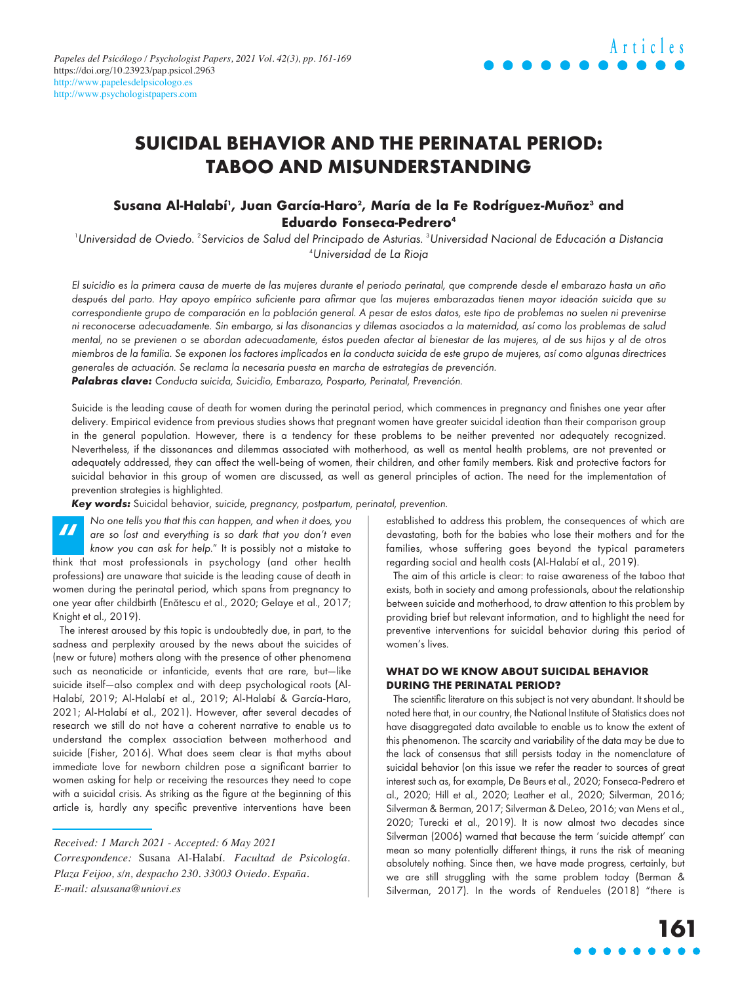## **SUICIDAL BEHAVIOR AND THE PERINATAL PERIOD: TABOO AND MISUNDERSTANDING**

### Susana Al-Halabí', Juan García-Haro<sup>2</sup>, María de la Fe Rodríguez-Muñoz<sup>3</sup> and **Eduardo Fonseca-Pedrero4**

<sup>1</sup>Universidad de Oviedo. <sup>2</sup>Servicios de Salud del Principado de Asturias. <sup>3</sup>Universidad Nacional de Educación a Distancia 4 Universidad de La Rioja

El suicidio es la primera causa de muerte de las mujeres durante el periodo perinatal, que comprende desde el embarazo hasta un año después del parto. Hay apoyo empírico suficiente para afirmar que las mujeres embarazadas tienen mayor ideación suicida que su correspondiente grupo de comparación en la población general. A pesar de estos datos, este tipo de problemas no suelen ni prevenirse ni reconocerse adecuadamente. Sin embargo, si las disonancias y dilemas asociados a la maternidad, así como los problemas de salud mental, no se previenen o se abordan adecuadamente, éstos pueden afectar al bienestar de las mujeres, al de sus hijos y al de otros miembros de la familia. Se exponen los factores implicados en la conducta suicida de este grupo de mujeres, así como algunas directrices generales de actuación. Se reclama la necesaria puesta en marcha de estrategias de prevención. **Palabras clave:** Conducta suicida, Suicidio, Embarazo, Posparto, Perinatal, Prevención.

Suicide is the leading cause of death for women during the perinatal period, which commences in pregnancy and finishes one year after delivery. Empirical evidence from previous studies shows that pregnant women have greater suicidal ideation than their comparison group in the general population. However, there is a tendency for these problems to be neither prevented nor adequately recognized. Nevertheless, if the dissonances and dilemmas associated with motherhood, as well as mental health problems, are not prevented or adequately addressed, they can affect the well-being of women, their children, and other family members. Risk and protective factors for suicidal behavior in this group of women are discussed, as well as general principles of action. The need for the implementation of prevention strategies is highlighted.

**Key words:** Suicidal behavior, suicide, pregnancy, postpartum, perinatal, prevention.

No one tells you that this can happen, and when it does, you are so lost and everything is so dark that you don't even know you can ask for help." It is possibly not a mistake to The since is you may think that most you can ask for help." It is possibly not a mistake to think that most professionals in psychology (and other health professions) are unaware that suicide is the leading cause of death in women during the perinatal period, which spans from pregnancy to one year after childbirth (Enătescu et al., 2020; Gelaye et al., 2017; Knight et al., 2019).

The interest aroused by this topic is undoubtedly due, in part, to the sadness and perplexity aroused by the news about the suicides of (new or future) mothers along with the presence of other phenomena such as neonaticide or infanticide, events that are rare, but—like suicide itself—also complex and with deep psychological roots (Al-Halabí, 2019; Al-Halabí et al., 2019; Al-Halabí & García-Haro, 2021; Al-Halabí et al., 2021). However, after several decades of research we still do not have a coherent narrative to enable us to understand the complex association between motherhood and suicide (Fisher, 2016). What does seem clear is that myths about immediate love for newborn children pose a significant barrier to women asking for help or receiving the resources they need to cope with a suicidal crisis. As striking as the figure at the beginning of this article is, hardly any specific preventive interventions have been

established to address this problem, the consequences of which are devastating, both for the babies who lose their mothers and for the families, whose suffering goes beyond the typical parameters regarding social and health costs (Al-Halabí et al., 2019).

The aim of this article is clear: to raise awareness of the taboo that exists, both in society and among professionals, about the relationship between suicide and motherhood, to draw attention to this problem by providing brief but relevant information, and to highlight the need for preventive interventions for suicidal behavior during this period of women's lives.

### **WHAT DO WE KNOW ABOUT SUICIDAL BEHAVIOR DURING THE PERINATAL PERIOD?**

The scientific literature on this subject is not very abundant. It should be noted here that, in our country, the National Institute of Statistics does not have disaggregated data available to enable us to know the extent of this phenomenon. The scarcity and variability of the data may be due to the lack of consensus that still persists today in the nomenclature of suicidal behavior (on this issue we refer the reader to sources of great interest such as, for example, De Beurs et al., 2020; Fonseca-Pedrero et al., 2020; Hill et al., 2020; Leather et al., 2020; Silverman, 2016; Silverman & Berman, 2017; Silverman & DeLeo, 2016; van Mens et al., 2020; Turecki et al., 2019). It is now almost two decades since Silverman (2006) warned that because the term 'suicide attempt' can mean so many potentially different things, it runs the risk of meaning absolutely nothing. Since then, we have made progress, certainly, but we are still struggling with the same problem today (Berman & Silverman, 2017). In the words of Rendueles (2018) "there is

*Received: 1 March 2021 - Accepted: 6 May 2021* 

*Correspondence:* Susana Al-Halabí. *Facultad de Psicología. Plaza Feijoo, s/n, despacho 230. 33003 Oviedo. España. E-mail: [alsusana@uniovi.es](HTTP://WWW.doi.org/10.3389/fpsyt.2016.00138)*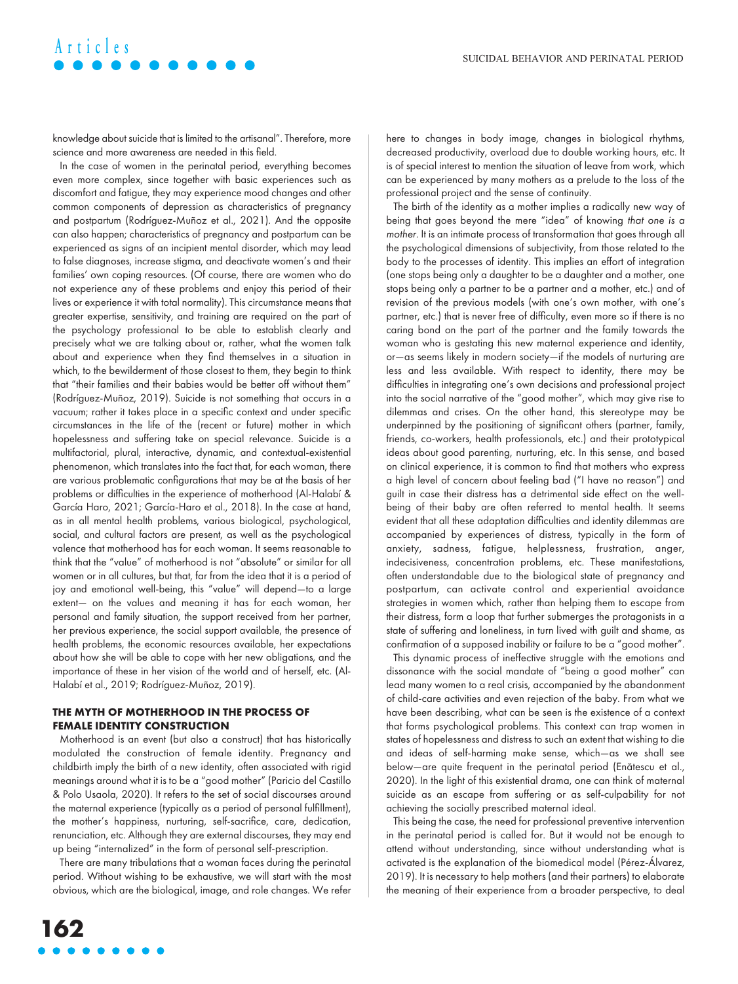# **Articles**

knowledge about suicide that is limited to the artisanal". Therefore, more science and more awareness are needed in this field.

In the case of women in the perinatal period, everything becomes even more complex, since together with basic experiences such as discomfort and fatigue, they may experience mood changes and other common components of depression as characteristics of pregnancy and postpartum (Rodríguez-Muñoz et al., 2021). And the opposite can also happen; characteristics of pregnancy and postpartum can be experienced as signs of an incipient mental disorder, which may lead to false diagnoses, increase stigma, and deactivate women's and their families' own coping resources. (Of course, there are women who do not experience any of these problems and enjoy this period of their lives or experience it with total normality). This circumstance means that greater expertise, sensitivity, and training are required on the part of the psychology professional to be able to establish clearly and precisely what we are talking about or, rather, what the women talk about and experience when they find themselves in a situation in which, to the bewilderment of those closest to them, they begin to think that "their families and their babies would be better off without them" (Rodríguez-Muñoz, 2019). Suicide is not something that occurs in a vacuum; rather it takes place in a specific context and under specific circumstances in the life of the (recent or future) mother in which hopelessness and suffering take on special relevance. Suicide is a multifactorial, plural, interactive, dynamic, and contextual-existential phenomenon, which translates into the fact that, for each woman, there are various problematic configurations that may be at the basis of her problems or difficulties in the experience of motherhood (Al-Halabí & García Haro, 2021; García-Haro et al., 2018). In the case at hand, as in all mental health problems, various biological, psychological, social, and cultural factors are present, as well as the psychological valence that motherhood has for each woman. It seems reasonable to think that the "value" of motherhood is not "absolute" or similar for all women or in all cultures, but that, far from the idea that it is a period of joy and emotional well-being, this "value" will depend—to a large extent— on the values and meaning it has for each woman, her personal and family situation, the support received from her partner, her previous experience, the social support available, the presence of health problems, the economic resources available, her expectations about how she will be able to cope with her new obligations, and the importance of these in her vision of the world and of herself, etc. (Al-Halabí et al., 2019; Rodríguez-Muñoz, 2019).

#### **THE MYTH OF MOTHERHOOD IN THE PROCESS OF FEMALE IDENTITY CONSTRUCTION**

Motherhood is an event (but also a construct) that has historically modulated the construction of female identity. Pregnancy and childbirth imply the birth of a new identity, often associated with rigid meanings around what it is to be a "good mother" (Paricio del Castillo & Polo Usaola, 2020). It refers to the set of social discourses around the maternal experience (typically as a period of personal fulfillment), the mother's happiness, nurturing, self-sacrifice, care, dedication, renunciation, etc. Although they are external discourses, they may end up being "internalized" in the form of personal self-prescription.

There are many tribulations that a woman faces during the perinatal period. Without wishing to be exhaustive, we will start with the most obvious, which are the biological, image, and role changes. We refer here to changes in body image, changes in biological rhythms, decreased productivity, overload due to double working hours, etc. It is of special interest to mention the situation of leave from work, which can be experienced by many mothers as a prelude to the loss of the professional project and the sense of continuity.

The birth of the identity as a mother implies a radically new way of being that goes beyond the mere "idea" of knowing that one is a mother. It is an intimate process of transformation that goes through all the psychological dimensions of subjectivity, from those related to the body to the processes of identity. This implies an effort of integration (one stops being only a daughter to be a daughter and a mother, one stops being only a partner to be a partner and a mother, etc.) and of revision of the previous models (with one's own mother, with one's partner, etc.) that is never free of difficulty, even more so if there is no caring bond on the part of the partner and the family towards the woman who is gestating this new maternal experience and identity, or—as seems likely in modern society—if the models of nurturing are less and less available. With respect to identity, there may be difficulties in integrating one's own decisions and professional project into the social narrative of the "good mother", which may give rise to dilemmas and crises. On the other hand, this stereotype may be underpinned by the positioning of significant others (partner, family, friends, co-workers, health professionals, etc.) and their prototypical ideas about good parenting, nurturing, etc. In this sense, and based on clinical experience, it is common to find that mothers who express a high level of concern about feeling bad ("I have no reason") and guilt in case their distress has a detrimental side effect on the wellbeing of their baby are often referred to mental health. It seems evident that all these adaptation difficulties and identity dilemmas are accompanied by experiences of distress, typically in the form of anxiety, sadness, fatigue, helplessness, frustration, anger, indecisiveness, concentration problems, etc. These manifestations, often understandable due to the biological state of pregnancy and postpartum, can activate control and experiential avoidance strategies in women which, rather than helping them to escape from their distress, form a loop that further submerges the protagonists in a state of suffering and loneliness, in turn lived with guilt and shame, as confirmation of a supposed inability or failure to be a "good mother".

This dynamic process of ineffective struggle with the emotions and dissonance with the social mandate of "being a good mother" can lead many women to a real crisis, accompanied by the abandonment of child-care activities and even rejection of the baby. From what we have been describing, what can be seen is the existence of a context that forms psychological problems. This context can trap women in states of hopelessness and distress to such an extent that wishing to die and ideas of self-harming make sense, which—as we shall see below—are quite frequent in the perinatal period (Enătescu et al., 2020). In the light of this existential drama, one can think of maternal suicide as an escape from suffering or as self-culpability for not achieving the socially prescribed maternal ideal.

This being the case, the need for professional preventive intervention in the perinatal period is called for. But it would not be enough to attend without understanding, since without understanding what is activated is the explanation of the biomedical model (Pérez-Álvarez, 2019). It is necessary to help mothers (and their partners) to elaborate the meaning of their experience from a broader perspective, to deal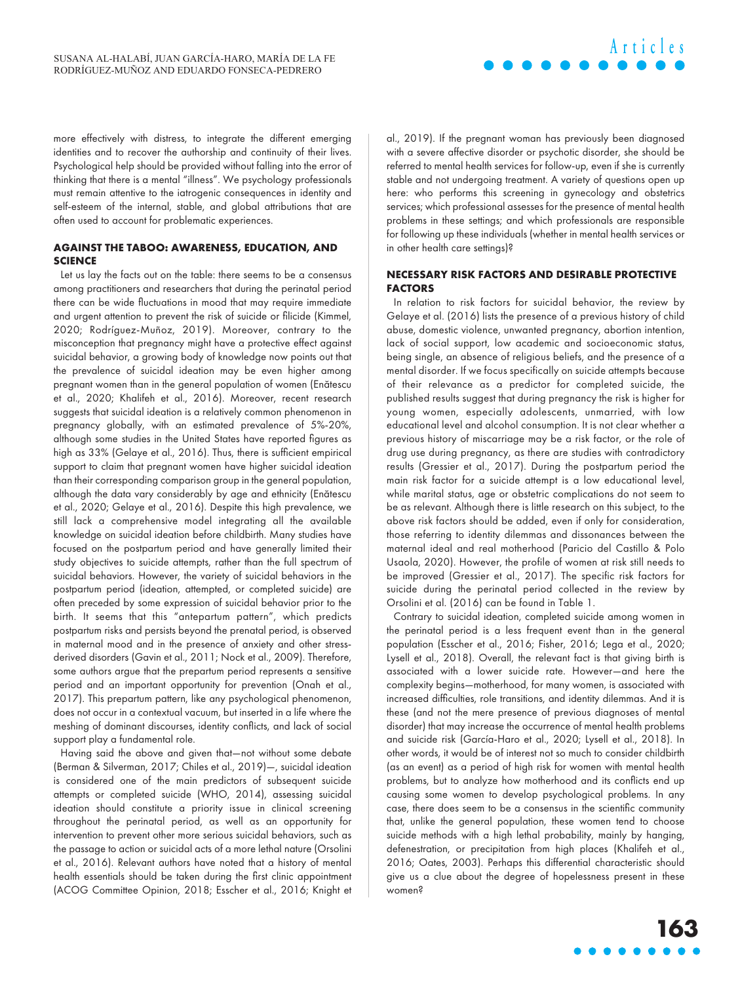more effectively with distress, to integrate the different emerging identities and to recover the authorship and continuity of their lives. Psychological help should be provided without falling into the error of thinking that there is a mental "illness". We psychology professionals must remain attentive to the iatrogenic consequences in identity and self-esteem of the internal, stable, and global attributions that are often used to account for problematic experiences.

### **AGAINST THE TABOO: AWARENESS, EDUCATION, AND SCIENCE**

Let us lay the facts out on the table: there seems to be a consensus among practitioners and researchers that during the perinatal period there can be wide fluctuations in mood that may require immediate and urgent attention to prevent the risk of suicide or filicide (Kimmel, 2020; Rodríguez-Muñoz, 2019). Moreover, contrary to the misconception that pregnancy might have a protective effect against suicidal behavior, a growing body of knowledge now points out that the prevalence of suicidal ideation may be even higher among pregnant women than in the general population of women (Enătescu et al., 2020; Khalifeh et al., 2016). Moreover, recent research suggests that suicidal ideation is a relatively common phenomenon in pregnancy globally, with an estimated prevalence of 5%-20%, although some studies in the United States have reported figures as high as 33% (Gelaye et al., 2016). Thus, there is sufficient empirical support to claim that pregnant women have higher suicidal ideation than their corresponding comparison group in the general population, although the data vary considerably by age and ethnicity (Enătescu et al., 2020; Gelaye et al., 2016). Despite this high prevalence, we still lack a comprehensive model integrating all the available knowledge on suicidal ideation before childbirth. Many studies have focused on the postpartum period and have generally limited their study objectives to suicide attempts, rather than the full spectrum of suicidal behaviors. However, the variety of suicidal behaviors in the postpartum period (ideation, attempted, or completed suicide) are often preceded by some expression of suicidal behavior prior to the birth. It seems that this "antepartum pattern", which predicts postpartum risks and persists beyond the prenatal period, is observed in maternal mood and in the presence of anxiety and other stressderived disorders (Gavin et al., 2011; Nock et al., 2009). Therefore, some authors argue that the prepartum period represents a sensitive period and an important opportunity for prevention (Onah et al., 2017). This prepartum pattern, like any psychological phenomenon, does not occur in a contextual vacuum, but inserted in a life where the meshing of dominant discourses, identity conflicts, and lack of social support play a fundamental role.

Having said the above and given that—not without some debate (Berman & Silverman, 2017; Chiles et al., 2019)—, suicidal ideation is considered one of the main predictors of subsequent suicide attempts or completed suicide (WHO, 2014), assessing suicidal ideation should constitute a priority issue in clinical screening throughout the perinatal period, as well as an opportunity for intervention to prevent other more serious suicidal behaviors, such as the passage to action or suicidal acts of a more lethal nature (Orsolini et al., 2016). Relevant authors have noted that a history of mental health essentials should be taken during the first clinic appointment (ACOG Committee Opinion, 2018; Esscher et al., 2016; Knight et al., 2019). If the pregnant woman has previously been diagnosed with a severe affective disorder or psychotic disorder, she should be referred to mental health services for follow-up, even if she is currently stable and not undergoing treatment. A variety of questions open up here: who performs this screening in gynecology and obstetrics services; which professional assesses for the presence of mental health problems in these settings; and which professionals are responsible for following up these individuals (whether in mental health services or in other health care settings)?

### **NECESSARY RISK FACTORS AND DESIRABLE PROTECTIVE FACTORS**

In relation to risk factors for suicidal behavior, the review by Gelaye et al. (2016) lists the presence of a previous history of child abuse, domestic violence, unwanted pregnancy, abortion intention, lack of social support, low academic and socioeconomic status, being single, an absence of religious beliefs, and the presence of a mental disorder. If we focus specifically on suicide attempts because of their relevance as a predictor for completed suicide, the published results suggest that during pregnancy the risk is higher for young women, especially adolescents, unmarried, with low educational level and alcohol consumption. It is not clear whether a previous history of miscarriage may be a risk factor, or the role of drug use during pregnancy, as there are studies with contradictory results (Gressier et al., 2017). During the postpartum period the main risk factor for a suicide attempt is a low educational level, while marital status, age or obstetric complications do not seem to be as relevant. Although there is little research on this subject, to the above risk factors should be added, even if only for consideration, those referring to identity dilemmas and dissonances between the maternal ideal and real motherhood (Paricio del Castillo & Polo Usaola, 2020). However, the profile of women at risk still needs to be improved (Gressier et al., 2017). The specific risk factors for suicide during the perinatal period collected in the review by Orsolini et al. (2016) can be found in Table 1.

Contrary to suicidal ideation, completed suicide among women in the perinatal period is a less frequent event than in the general population (Esscher et al., 2016; Fisher, 2016; Lega et al., 2020; Lysell et al., 2018). Overall, the relevant fact is that giving birth is associated with a lower suicide rate. However—and here the complexity begins—motherhood, for many women, is associated with increased difficulties, role transitions, and identity dilemmas. And it is these (and not the mere presence of previous diagnoses of mental disorder) that may increase the occurrence of mental health problems and suicide risk (García-Haro et al., 2020; Lysell et al., 2018). In other words, it would be of interest not so much to consider childbirth (as an event) as a period of high risk for women with mental health problems, but to analyze how motherhood and its conflicts end up causing some women to develop psychological problems. In any case, there does seem to be a consensus in the scientific community that, unlike the general population, these women tend to choose suicide methods with a high lethal probability, mainly by hanging, defenestration, or precipitation from high places (Khalifeh et al., 2016; Oates, 2003). Perhaps this differential characteristic should give us a clue about the degree of hopelessness present in these women?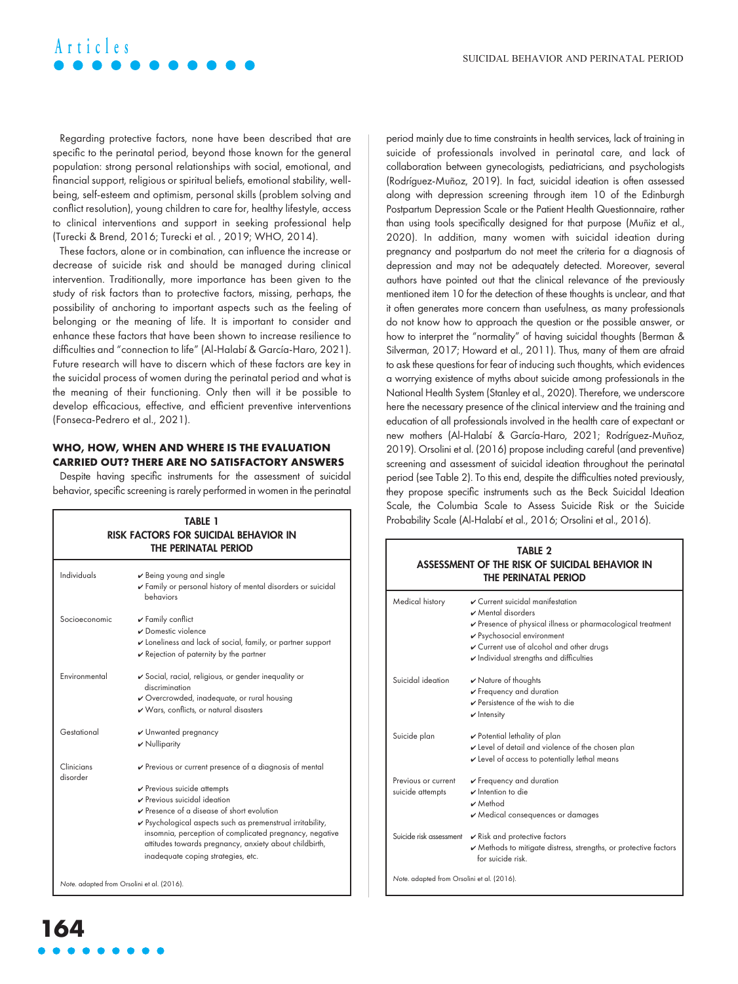# **Articles**

Regarding protective factors, none have been described that are specific to the perinatal period, beyond those known for the general population: strong personal relationships with social, emotional, and financial support, religious or spiritual beliefs, emotional stability, wellbeing, self-esteem and optimism, personal skills (problem solving and conflict resolution), young children to care for, healthy lifestyle, access to clinical interventions and support in seeking professional help (Turecki & Brend, 2016; Turecki et al. , 2019; WHO, 2014).

These factors, alone or in combination, can influence the increase or decrease of suicide risk and should be managed during clinical intervention. Traditionally, more importance has been given to the study of risk factors than to protective factors, missing, perhaps, the possibility of anchoring to important aspects such as the feeling of belonging or the meaning of life. It is important to consider and enhance these factors that have been shown to increase resilience to difficulties and "connection to life" (Al-Halabí & García-Haro, 2021). Future research will have to discern which of these factors are key in the suicidal process of women during the perinatal period and what is the meaning of their functioning. Only then will it be possible to develop efficacious, effective, and efficient preventive interventions (Fonseca-Pedrero et al., 2021).

#### **WHO, HOW, WHEN AND WHERE IS THE EVALUATION CARRIED OUT? THERE ARE NO SATISFACTORY ANSWERS**

Despite having specific instruments for the assessment of suicidal behavior, specific screening is rarely performed in women in the perinatal

| <b>TABLE 1</b><br>RISK FACTORS FOR SUICIDAL BEHAVIOR IN<br>THE PERINATAL PERIOD |                                                                                                                                                                                                                                                                                                                                                                                                                                      |  |
|---------------------------------------------------------------------------------|--------------------------------------------------------------------------------------------------------------------------------------------------------------------------------------------------------------------------------------------------------------------------------------------------------------------------------------------------------------------------------------------------------------------------------------|--|
| Individuals                                                                     | $\vee$ Being young and single<br>Family or personal history of mental disorders or suicidal<br>behaviors                                                                                                                                                                                                                                                                                                                             |  |
| Socioeconomic                                                                   | $\mathbf v$ Family conflict<br>Domestic violence<br>Loneliness and lack of social, family, or partner support<br>$\mathbf v$ Rejection of paternity by the partner                                                                                                                                                                                                                                                                   |  |
| Environmental                                                                   | ✔ Social, racial, religious, or gender inequality or<br>discrimination<br>✔ Overcrowded, inadequate, or rural housing<br>V Wars, conflicts, or natural disasters                                                                                                                                                                                                                                                                     |  |
| Gestational                                                                     | $\nu$ Unwanted pregnancy<br>$\boldsymbol{\nu}$ Nulliparity                                                                                                                                                                                                                                                                                                                                                                           |  |
| Clinicians<br>disorder                                                          | $\triangleright$ Previous or current presence of a diagnosis of mental<br>$\checkmark$ Previous suicide attempts<br>Previous suicidal ideation<br>$\triangleright$ Presence of a disease of short evolution<br>✔ Psychological aspects such as premenstrual irritability,<br>insomnia, perception of complicated pregnancy, negative<br>attitudes towards pregnancy, anxiety about childbirth,<br>inadequate coping strategies, etc. |  |

period mainly due to time constraints in health services, lack of training in suicide of professionals involved in perinatal care, and lack of collaboration between gynecologists, pediatricians, and psychologists (Rodríguez-Muñoz, 2019). In fact, suicidal ideation is often assessed along with depression screening through item 10 of the Edinburgh Postpartum Depression Scale or the Patient Health Questionnaire, rather than using tools specifically designed for that purpose (Muñiz et al., 2020). In addition, many women with suicidal ideation during pregnancy and postpartum do not meet the criteria for a diagnosis of depression and may not be adequately detected. Moreover, several authors have pointed out that the clinical relevance of the previously mentioned item 10 for the detection of these thoughts is unclear, and that it often generates more concern than usefulness, as many professionals do not know how to approach the question or the possible answer, or how to interpret the "normality" of having suicidal thoughts (Berman & Silverman, 2017; Howard et al., 2011). Thus, many of them are afraid to ask these questions for fear of inducing such thoughts, which evidences a worrying existence of myths about suicide among professionals in the National Health System (Stanley et al., 2020). Therefore, we underscore here the necessary presence of the clinical interview and the training and education of all professionals involved in the health care of expectant or new mothers (Al-Halabí & García-Haro, 2021; Rodríguez-Muñoz, 2019). Orsolini et al. (2016) propose including careful (and preventive) screening and assessment of suicidal ideation throughout the perinatal period (see Table 2). To this end, despite the difficulties noted previously, they propose specific instruments such as the Beck Suicidal Ideation Scale, the Columbia Scale to Assess Suicide Risk or the Suicide Probability Scale (Al-Halabí et al., 2016; Orsolini et al., 2016).

| <b>TABLE 2</b><br>ASSESSMENT OF THE RISK OF SUICIDAL BEHAVIOR IN<br>THE PERINATAL PERIOD |                                                                                                                                                                                                                                                       |  |
|------------------------------------------------------------------------------------------|-------------------------------------------------------------------------------------------------------------------------------------------------------------------------------------------------------------------------------------------------------|--|
| Medical history                                                                          | ✔ Current suicidal manifestation<br>Mental disorders<br>Presence of physical illness or pharmacological treatment<br>✔ Psychosocial environment<br>Current use of alcohol and other drugs<br>$\boldsymbol{\nu}$ Individual strengths and difficulties |  |
| Suicidal ideation                                                                        | $\boldsymbol{\nu}$ Nature of thoughts<br>$\checkmark$ Frequency and duration<br>$\triangleright$ Persistence of the wish to die<br>$\mathbf v$ Intensity                                                                                              |  |
| Suicide plan                                                                             | $\checkmark$ Potential lethality of plan<br>Level of detail and violence of the chosen plan<br>$\mathbf v$ Level of access to potentially lethal means                                                                                                |  |
| Previous or current<br>suicide attempts                                                  | $\checkmark$ Frequency and duration<br>$\mathbf v$ Intention to die<br>$\nu$ Method<br>✔ Medical consequences or damages                                                                                                                              |  |
| Suicide risk assessment                                                                  | $\mathbf{\nabla}$ Risk and protective factors<br>✔ Methods to mitigate distress, strengths, or protective factors<br>for suicide risk                                                                                                                 |  |
| Note. adapted from Orsolini et al. (2016).                                               |                                                                                                                                                                                                                                                       |  |

Note. adapted from Orsolini et al. (2016).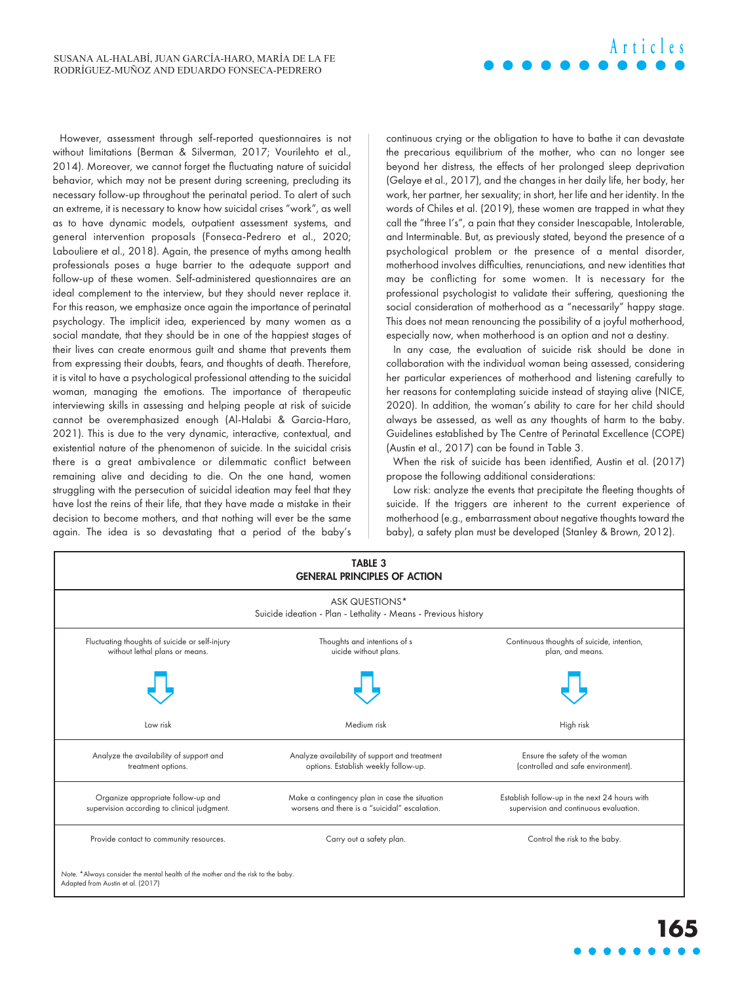However, assessment through self-reported questionnaires is not without limitations (Berman & Silverman, 2017; Vourilehto et al., 2014). Moreover, we cannot forget the fluctuating nature of suicidal behavior, which may not be present during screening, precluding its necessary follow-up throughout the perinatal period. To alert of such an extreme, it is necessary to know how suicidal crises "work", as well as to have dynamic models, outpatient assessment systems, and general intervention proposals (Fonseca-Pedrero et al., 2020; Labouliere et al., 2018). Again, the presence of myths among health professionals poses a huge barrier to the adequate support and follow-up of these women. Self-administered questionnaires are an ideal complement to the interview, but they should never replace it. For this reason, we emphasize once again the importance of perinatal psychology. The implicit idea, experienced by many women as a social mandate, that they should be in one of the happiest stages of their lives can create enormous guilt and shame that prevents them from expressing their doubts, fears, and thoughts of death. Therefore, it is vital to have a psychological professional attending to the suicidal woman, managing the emotions. The importance of therapeutic interviewing skills in assessing and helping people at risk of suicide cannot be overemphasized enough (Al-Halabi & Garcia-Haro, 2021). This is due to the very dynamic, interactive, contextual, and existential nature of the phenomenon of suicide. In the suicidal crisis there is a great ambivalence or dilemmatic conflict between remaining alive and deciding to die. On the one hand, women struggling with the persecution of suicidal ideation may feel that they have lost the reins of their life, that they have made a mistake in their decision to become mothers, and that nothing will ever be the same again. The idea is so devastating that a period of the baby's

continuous crying or the obligation to have to bathe it can devastate the precarious equilibrium of the mother, who can no longer see beyond her distress, the effects of her prolonged sleep deprivation (Gelaye et al., 2017), and the changes in her daily life, her body, her work, her partner, her sexuality; in short, her life and her identity. In the words of Chiles et al. (2019), these women are trapped in what they call the "three I's", a pain that they consider Inescapable, Intolerable, and Interminable. But, as previously stated, beyond the presence of a psychological problem or the presence of a mental disorder, motherhood involves difficulties, renunciations, and new identities that may be conflicting for some women. It is necessary for the professional psychologist to validate their suffering, questioning the social consideration of motherhood as a "necessarily" happy stage. This does not mean renouncing the possibility of a joyful motherhood, especially now, when motherhood is an option and not a destiny.

**Articles**

In any case, the evaluation of suicide risk should be done in collaboration with the individual woman being assessed, considering her particular experiences of motherhood and listening carefully to her reasons for contemplating suicide instead of staying alive (NICE, 2020). In addition, the woman's ability to care for her child should always be assessed, as well as any thoughts of harm to the baby. Guidelines established by The Centre of Perinatal Excellence (COPE) (Austin et al., 2017) can be found in Table 3.

When the risk of suicide has been identified, Austin et al. (2017) propose the following additional considerations:

Low risk: analyze the events that precipitate the fleeting thoughts of suicide. If the triggers are inherent to the current experience of motherhood (e.g., embarrassment about negative thoughts toward the baby), a safety plan must be developed (Stanley & Brown, 2012).

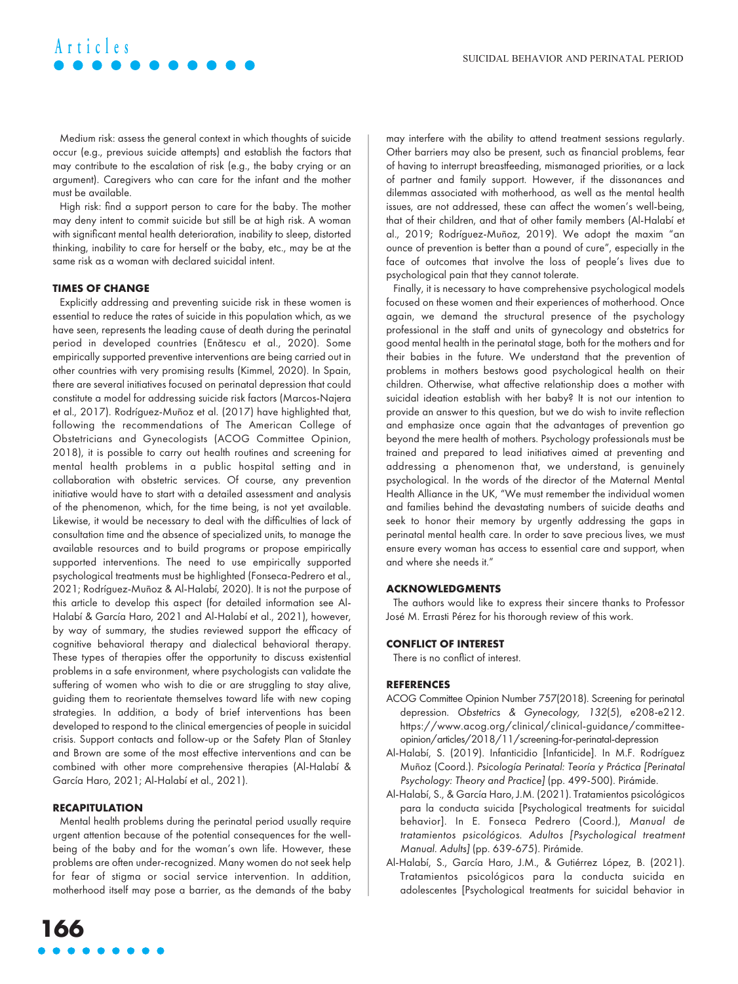Medium risk: assess the general context in which thoughts of suicide occur (e.g., previous suicide attempts) and establish the factors that may contribute to the escalation of risk (e.g., the baby crying or an argument). Caregivers who can care for the infant and the mother must be available.

High risk: find a support person to care for the baby. The mother may deny intent to commit suicide but still be at high risk. A woman with significant mental health deterioration, inability to sleep, distorted thinking, inability to care for herself or the baby, etc., may be at the same risk as a woman with declared suicidal intent.

#### **TIMES OF CHANGE**

**Articles**

Explicitly addressing and preventing suicide risk in these women is essential to reduce the rates of suicide in this population which, as we have seen, represents the leading cause of death during the perinatal period in developed countries (Enătescu et al., 2020). Some empirically supported preventive interventions are being carried out in other countries with very promising results (Kimmel, 2020). In Spain, there are several initiatives focused on perinatal depression that could constitute a model for addressing suicide risk factors (Marcos-Najera et al., 2017). Rodríguez-Muñoz et al. (2017) have highlighted that, following the recommendations of The American College of Obstetricians and Gynecologists (ACOG Committee Opinion, 2018), it is possible to carry out health routines and screening for mental health problems in a public hospital setting and in collaboration with obstetric services. Of course, any prevention initiative would have to start with a detailed assessment and analysis of the phenomenon, which, for the time being, is not yet available. Likewise, it would be necessary to deal with the difficulties of lack of consultation time and the absence of specialized units, to manage the available resources and to build programs or propose empirically supported interventions. The need to use empirically supported psychological treatments must be highlighted (Fonseca-Pedrero et al., 2021; Rodríguez-Muñoz & Al-Halabí, 2020). It is not the purpose of this article to develop this aspect (for detailed information see Al-Halabí & García Haro, 2021 and Al-Halabí et al., 2021), however, by way of summary, the studies reviewed support the efficacy of cognitive behavioral therapy and dialectical behavioral therapy. These types of therapies offer the opportunity to discuss existential problems in a safe environment, where psychologists can validate the suffering of women who wish to die or are struggling to stay alive, guiding them to reorientate themselves toward life with new coping strategies. In addition, a body of brief interventions has been developed to respond to the clinical emergencies of people in suicidal crisis. Support contacts and follow-up or the Safety Plan of Stanley and Brown are some of the most effective interventions and can be combined with other more comprehensive therapies (Al-Halabí & García Haro, 2021; Al-Halabí et al., 2021).

#### **RECAPITULATION**

Mental health problems during the perinatal period usually require urgent attention because of the potential consequences for the wellbeing of the baby and for the woman's own life. However, these problems are often under-recognized. Many women do not seek help for fear of stigma or social service intervention. In addition, motherhood itself may pose a barrier, as the demands of the baby

may interfere with the ability to attend treatment sessions regularly. Other barriers may also be present, such as financial problems, fear of having to interrupt breastfeeding, mismanaged priorities, or a lack of partner and family support. However, if the dissonances and dilemmas associated with motherhood, as well as the mental health issues, are not addressed, these can affect the women's well-being, that of their children, and that of other family members (Al-Halabí et al., 2019; Rodríguez-Muñoz, 2019). We adopt the maxim "an ounce of prevention is better than a pound of cure", especially in the face of outcomes that involve the loss of people's lives due to psychological pain that they cannot tolerate.

Finally, it is necessary to have comprehensive psychological models focused on these women and their experiences of motherhood. Once again, we demand the structural presence of the psychology professional in the staff and units of gynecology and obstetrics for good mental health in the perinatal stage, both for the mothers and for their babies in the future. We understand that the prevention of problems in mothers bestows good psychological health on their children. Otherwise, what affective relationship does a mother with suicidal ideation establish with her baby? It is not our intention to provide an answer to this question, but we do wish to invite reflection and emphasize once again that the advantages of prevention go beyond the mere health of mothers. Psychology professionals must be trained and prepared to lead initiatives aimed at preventing and addressing a phenomenon that, we understand, is genuinely psychological. In the words of the director of the Maternal Mental Health Alliance in the UK, "We must remember the individual women and families behind the devastating numbers of suicide deaths and seek to honor their memory by urgently addressing the gaps in perinatal mental health care. In order to save precious lives, we must ensure every woman has access to essential care and support, when and where she needs it."

#### **ACKNOWLEDGMENTS**

The authors would like to express their sincere thanks to Professor José M. Errasti Pérez for his thorough review of this work.

#### **CONFLICT OF INTEREST**

There is no conflict of interest.

#### **REFERENCES**

- ACOG Committee Opinion Number 757(2018). Screening for perinatal depression. Obstetrics & Gynecology, 132(5), e208-e212. [https://www.acog.org/clinical/clinical-guidance/committee](https://www.acog.org/clinical/clinical-guidance/committee-opinion/articles/2018/11/screening-for-perinatal-depression)[opinion/articles/2018/11/screening-for-perinatal-depression](https://www.acog.org/clinical/clinical-guidance/committee-opinion/articles/2018/11/screening-for-perinatal-depression)
- Al-Halabí, S. (2019). Infanticidio [Infanticide]. In M.F. Rodríguez Muñoz (Coord.). Psicología Perinatal: Teoría y Práctica [Perinatal Psychology: Theory and Practice] (pp. 499-500). Pirámide.
- Al-Halabí, S., & García Haro, J.M. (2021). Tratamientos psicológicos para la conducta suicida [Psychological treatments for suicidal behavior]. In E. Fonseca Pedrero (Coord.), Manual de tratamientos psicológicos. Adultos [Psychological treatment Manual. Adults] (pp. 639-675). Pirámide.
- Al-Halabí, S., García Haro, J.M., & Gutiérrez López, B. (2021). Tratamientos psicológicos para la conducta suicida en adolescentes [Psychological treatments for suicidal behavior in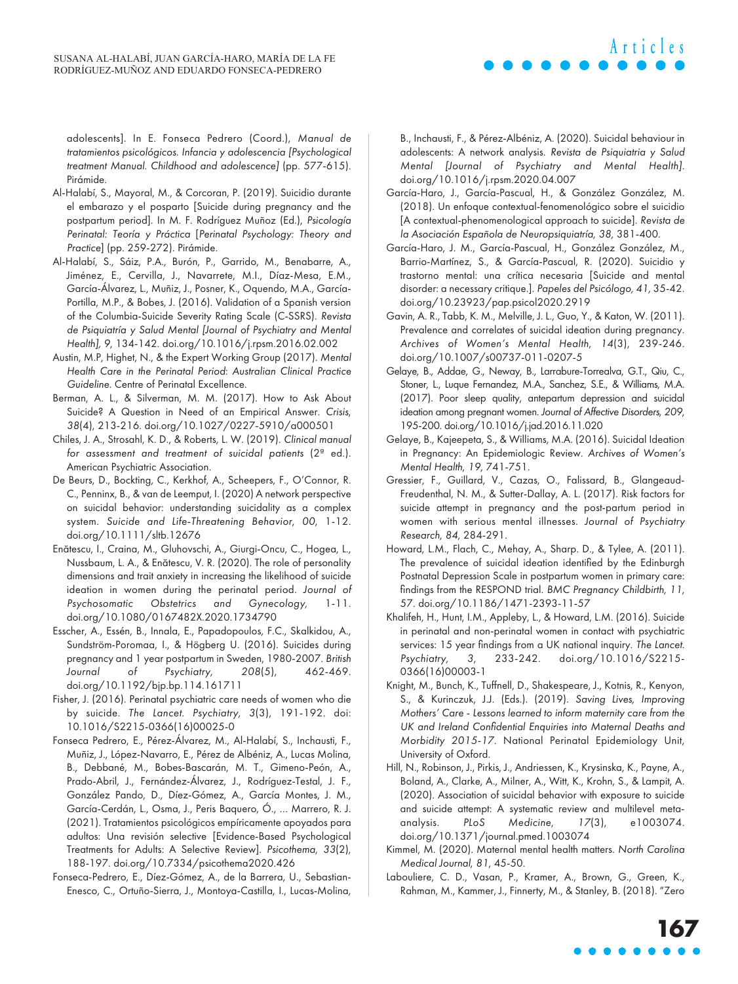adolescents]. In E. Fonseca Pedrero (Coord.), Manual de tratamientos psicológicos. Infancia y adolescencia [Psychological treatment Manual. Childhood and adolescence] (pp. 577-615). Pirámide.

- Al-Halabí, S., Mayoral, M., & Corcoran, P. (2019). Suicidio durante el embarazo y el posparto [Suicide during pregnancy and the postpartum period]. In M. F. Rodríguez Muñoz (Ed.), Psicología Perinatal: Teoría y Práctica [Perinatal Psychology: Theory and Practice] (pp. 259-272). Pirámide.
- Al-Halabí, S., Sáiz, P.A., Burón, P., Garrido, M., Benabarre, A., Jiménez, E., Cervilla, J., Navarrete, M.I., Díaz-Mesa, E.M., García-Álvarez, L., Muñiz, J., Posner, K., Oquendo, M.A., García-Portilla, M.P., & Bobes, J. (2016). Validation of a Spanish version of the Columbia-Suicide Severity Rating Scale (C-SSRS). Revista de Psiquiatría y Salud Mental [Journal of Psychiatry and Mental Health], 9, 134-142. [doi.org/10.1016/j.rpsm.2016.02.002](http://doi.org/10.1016/j.rpsm.2016.02.002)
- Austin, M.P, Highet, N., & the Expert Working Group (2017). Mental Health Care in the Perinatal Period: Australian Clinical Practice Guideline. Centre of Perinatal Excellence.
- Berman, A. L., & Silverman, M. M. (2017). How to Ask About Suicide? A Question in Need of an Empirical Answer. Crisis, 38(4), 213-216. [doi.org/10.1027/0227-5910/a000501](http://doi.org/10.1027/0227-5910/a000501)
- Chiles, J. A., Strosahl, K. D., & Roberts, L. W. (2019). Clinical manual for assessment and treatment of suicidal patients (2ª ed.). American Psychiatric Association.
- De Beurs, D., Bockting, C., Kerkhof, A., Scheepers, F., O'Connor, R. C., Penninx, B., & van de Leemput, I. (2020) A network perspective on suicidal behavior: understanding suicidality as a complex system. Suicide and Life-Threatening Behavior, 00, 1-12. [doi.org/10.1111/sltb.12676](http://doi.org/10.1111/sltb.12676)
- Enătescu, I., Craina, M., Gluhovschi, A., Giurgi-Oncu, C., Hogea, L., Nussbaum, L. A., & Enătescu, V. R. (2020). The role of personality dimensions and trait anxiety in increasing the likelihood of suicide ideation in women during the perinatal period. Journal of Psychosomatic Obstetrics and Gynecology, 1-11. [doi.org/10.1080/0167482X.2020.1734790](http://doi.org/10.1080/0167482X.2020.1734790)
- Esscher, A., Essén, B., Innala, E., Papadopoulos, F.C., Skalkidou, A., Sundström-Poromaa, I., & Högberg U. (2016). Suicides during pregnancy and 1 year postpartum in Sweden, 1980-2007. British Journal of Psychiatry, 208(5), 462-469. [doi.org/10.1192/bjp.bp.114.161711](http://doi.org/10.1192/bjp.bp.114.161711)
- Fisher, J. (2016). Perinatal psychiatric care needs of women who die by suicide. The Lancet. Psychiatry, 3(3), 191-192. doi: [10.1016/S2215-0366\(16\)00025-0](http://doi.org/10.1016/S2215-0366(16)00025-0)
- Fonseca Pedrero, E., Pérez-Álvarez, M., Al-Halabí, S., Inchausti, F., Muñiz, J., López-Navarro, E., Pérez de Albéniz, A., Lucas Molina, B., Debbané, M., Bobes-Bascarán, M. T., Gimeno-Peón, A., Prado-Abril, J., Fernández-Álvarez, J., Rodríguez-Testal, J. F., González Pando, D., Díez-Gómez, A., García Montes, J. M., García-Cerdán, L., Osma, J., Peris Baquero, Ó., … Marrero, R. J. (2021). Tratamientos psicológicos empíricamente apoyados para adultos: Una revisión selective [Evidence-Based Psychological Treatments for Adults: A Selective Review]. Psicothema, 33(2), 188-197. [doi.org/10.7334/psicothema2020.426](http://doi.org/10.7334/psicothema2020.426)
- Fonseca-Pedrero, E., Díez-Gómez, A., de la Barrera, U., Sebastian-Enesco, C., Ortuño-Sierra, J., Montoya-Castilla, I., Lucas-Molina,

B., Inchausti, F., & Pérez-Albéniz, A. (2020). Suicidal behaviour in adolescents: A network analysis. Revista de Psiquiatria y Salud Mental [Journal of Psychiatry and Mental Health]. [doi.org/10.1016/j.rpsm.2020.04.007](http://doi.org/10.1016/j.rpsm.2020.04.007) 

**Articles**

- García-Haro, J., García-Pascual, H., & González González, M. (2018). Un enfoque contextual-fenomenológico sobre el suicidio [A contextual-phenomenological approach to suicide]. Revista de la Asociación Española de Neuropsiquiatría, 38, 381-400.
- García-Haro, J. M., García-Pascual, H., González González, M., Barrio-Martínez, S., & García-Pascual, R. (2020). Suicidio y trastorno mental: una crítica necesaria [Suicide and mental disorder: a necessary critique.]. Papeles del Psicólogo, 41, 35-42. [doi.org/10.23923/pap.psicol2020.2919](http://doi.org/10.23923/pap.psicol2020.2919)
- Gavin, A. R., Tabb, K. M., Melville, J. L., Guo, Y., & Katon, W. (2011). Prevalence and correlates of suicidal ideation during pregnancy. Archives of Women's Mental Health, 14(3), 239-246. [doi.org/10.1007/s00737-011-0207-5](http://doi.org/10.1007/s00737-011-0207-5)
- Gelaye, B., Addae, G., Neway, B., Larrabure-Torrealva, G.T., Qiu, C., Stoner, L., Luque Fernandez, M.A., Sanchez, S.E., & Williams, M.A. (2017). Poor sleep quality, antepartum depression and suicidal ideation among pregnant women. Journal of Affective Disorders, 209, 195-200. [doi.org/10.1016/j.jad.2016.11.020](http://doi.org/10.1016/j.jad.2016.11.020)
- Gelaye, B., Kajeepeta, S., & Williams, M.A. (2016). Suicidal Ideation in Pregnancy: An Epidemiologic Review. Archives of Women's Mental Health, 19, 741-751.
- Gressier, F., Guillard, V., Cazas, O., Falissard, B., Glangeaud-Freudenthal, N. M., & Sutter-Dallay, A. L. (2017). Risk factors for suicide attempt in pregnancy and the post-partum period in women with serious mental illnesses. Journal of Psychiatry Research, 84, 284-291.
- Howard, L.M., Flach, C., Mehay, A., Sharp. D., & Tylee, A. (2011). The prevalence of suicidal ideation identified by the Edinburgh Postnatal Depression Scale in postpartum women in primary care: findings from the RESPOND trial. BMC Pregnancy Childbirth, 11, 57. [doi.org/10.1186/1471-2393-11-57](http://doi.org/10.1186/1471-2393-11-57)
- Khalifeh, H., Hunt, I.M., Appleby, L., & Howard, L.M. (2016). Suicide in perinatal and non-perinatal women in contact with psychiatric services: 15 year findings from a UK national inquiry. The Lancet. Psychiatry, 3, 233-242. [doi.org/10.1016/S2215-](http://doi.org/10.1016/S2215-0366(16)00003-1) [0366\(16\)00003-1](http://doi.org/10.1016/S2215-0366(16)00003-1)
- Knight, M., Bunch, K., Tuffnell, D., Shakespeare, J., Kotnis, R., Kenyon, S., & Kurinczuk, J.J. (Eds.). (2019). Saving Lives, Improving Mothers' Care - Lessons learned to inform maternity care from the UK and Ireland Confidential Enquiries into Maternal Deaths and Morbidity 2015-17. National Perinatal Epidemiology Unit, University of Oxford.
- Hill, N., Robinson, J., Pirkis, J., Andriessen, K., Krysinska, K., Payne, A., Boland, A., Clarke, A., Milner, A., Witt, K., Krohn, S., & Lampit, A. (2020). Association of suicidal behavior with exposure to suicide and suicide attempt: A systematic review and multilevel metaanalysis. PLoS Medicine, 17(3), e1003074. [doi.org/10.1371/journal.pmed.1003074](http://doi.org/10.1371/journal.pmed.1003074)
- Kimmel, M. (2020). Maternal mental health matters. North Carolina Medical Journal, 81, 45-50.
- Labouliere, C. D., Vasan, P., Kramer, A., Brown, G., Green, K., Rahman, M., Kammer, J., Finnerty, M., & Stanley, B. (2018). "Zero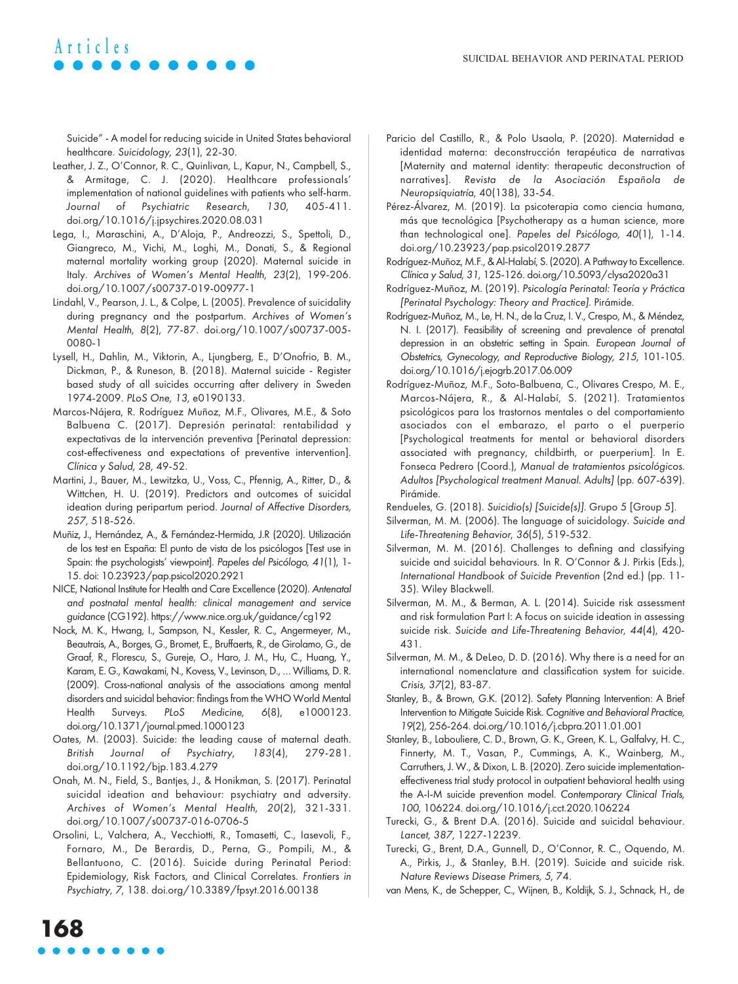# Suicide" - A model for reducing suicide in United States behavioral

healthcare. Suicidology, 23(1), 22-30.

**Articles**

- Leather, J. Z., O'Connor, R. C., Quinlivan, L., Kapur, N., Campbell, S., & Armitage, C. J. (2020). Healthcare professionals' implementation of national guidelines with patients who self-harm. Journal of Psychiatric Research, 130, 405-411. [doi.org/10.1016/j.jpsychires.2020.08.031](http://doi.org/10.1016/j.jpsychires.2020.08.031)
- Lega, I., Maraschini, A., D'Aloja, P., Andreozzi, S., Spettoli, D., Giangreco, M., Vichi, M., Loghi, M., Donati, S., & Regional maternal mortality working group (2020). Maternal suicide in Italy. Archives of Women's Mental Health, 23(2), 199-206. [doi.org/10.1007/s00737-019-00977-1](http://doi.org/10.1007/s00737-019-00977-1)
- Lindahl, V., Pearson, J. L., & Colpe, L. (2005). Prevalence of suicidality during pregnancy and the postpartum. Archives of Women's Mental Health, 8(2), 77-87. [doi.org/10.1007/s00737-005-](http://doi.org/10.1007/s00737-005-0080-1) [0080-1](http://doi.org/10.1007/s00737-005-0080-1)
- Lysell, H., Dahlin, M., Viktorin, A., Ljungberg, E., D'Onofrio, B. M., Dickman, P., & Runeson, B. (2018). Maternal suicide - Register based study of all suicides occurring after delivery in Sweden 1974-2009. PLoS One, 13, e0190133.
- Marcos-Nájera, R. Rodríguez Muñoz, M.F., Olivares, M.E., & Soto Balbuena C. (2017). Depresión perinatal: rentabilidad y expectativas de la intervención preventiva [Perinatal depression: cost-effectiveness and expectations of preventive intervention]. Clínica y Salud, 28, 49-52.
- Martini, J., Bauer, M., Lewitzka, U., Voss, C., Pfennig, A., Ritter, D., & Wittchen, H. U. (2019). Predictors and outcomes of suicidal ideation during peripartum period. Journal of Affective Disorders, 257, 518-526.
- Muñiz, J., Hernández, A., & Fernández-Hermida, J.R (2020). Utilización de los test en España: El punto de vista de los psicólogos [Test use in Spain: the psychologists' viewpoint]. Papeles del Psicólogo, 41(1), 1- 15. doi: [10.23923/pap.psicol2020.2921](http://doi.org/10.23923/pap.psicol2020.2921)
- NICE, National Institute for Health and Care Excellence (2020). Antenatal and postnatal mental health: clinical management and service guidance (CG192).<https://www.nice.org.uk/guidance/cg192>
- Nock, M. K., Hwang, I., Sampson, N., Kessler, R. C., Angermeyer, M., Beautrais, A., Borges, G., Bromet, E., Bruffaerts, R., de Girolamo, G., de Graaf, R., Florescu, S., Gureje, O., Haro, J. M., Hu, C., Huang, Y., Karam, E. G., Kawakami, N., Kovess, V., Levinson, D., … Williams, D. R. (2009). Cross-national analysis of the associations among mental disorders and suicidal behavior: findings from the WHO World Mental Health Surveys. PLoS Medicine, 6(8), e1000123. [doi.org/10.1371/journal.pmed.1000123](http://doi.org/10.1371/journal.pmed.1000123)
- Oates, M. (2003). Suicide: the leading cause of maternal death. British Journal of Psychiatry, 183(4), 279-281. [doi.org/10.1192/bjp.183.4.279](http://doi.org/10.1192/bjp.183.4.279)
- Onah, M. N., Field, S., Bantjes, J., & Honikman, S. (2017). Perinatal suicidal ideation and behaviour: psychiatry and adversity. Archives of Women's Mental Health, 20(2), 321-331. [doi.org/10.1007/s00737-016-0706-5](http://doi.org/10.1007/s00737-016-0706-5)
- Orsolini, L., Valchera, A., Vecchiotti, R., Tomasetti, C., Iasevoli, F., Fornaro, M., De Berardis, D., Perna, G., Pompili, M., & Bellantuono, C. (2016). Suicide during Perinatal Period: Epidemiology, Risk Factors, and Clinical Correlates. Frontiers in Psychiatry, 7, 138. [doi.org/10.3389/fpsyt.2016.00138](http://doi.org/10.3389/fpsyt.2016.00138)
- Paricio del Castillo, R., & Polo Usaola, P. (2020). Maternidad e identidad materna: deconstrucción terapéutica de narrativas [Maternity and maternal identity: therapeutic deconstruction of narratives]. Revista de la Asociación Española de Neuropsiquiatría, 40(138), 33-54.
- Pérez-Álvarez, M. (2019). La psicoterapia como ciencia humana, más que tecnológica [Psychotherapy as a human science, more than technological one]. Papeles del Psicólogo, 40(1), 1-14. [doi.org/10.23923/pap.psicol2019.2877](http://doi.org/10.23923/pap.psicol2019.2877)
- Rodríguez-Muñoz, M.F., & Al-Halabí, S. (2020). A Pathway to Excellence. Clínica y Salud, 31, 125-126. [doi.org/10.5093/clysa2020a31](http://doi.org/10.5093/clysa2020a31)
- Rodríguez-Muñoz, M. (2019). Psicología Perinatal: Teoría y Práctica [Perinatal Psychology: Theory and Practice]. Pirámide.
- Rodríguez-Muñoz, M., Le, H. N., de la Cruz, I. V., Crespo, M., & Méndez, N. I. (2017). Feasibility of screening and prevalence of prenatal depression in an obstetric setting in Spain. European Journal of Obstetrics, Gynecology, and Reproductive Biology, 215, 101-105. [doi.org/10.1016/j.ejogrb.2017.06.009](http://doi.org/10.1016/j.ejogrb.2017.06.009)
- Rodríguez-Muñoz, M.F., Soto-Balbuena, C., Olivares Crespo, M. E., Marcos-Nájera, R., & Al-Halabí, S. (2021). Tratamientos psicológicos para los trastornos mentales o del comportamiento asociados con el embarazo, el parto o el puerperio [Psychological treatments for mental or behavioral disorders associated with pregnancy, childbirth, or puerperium]. In E. Fonseca Pedrero (Coord.), Manual de tratamientos psicológicos. Adultos [Psychological treatment Manual. Adults] (pp. 607-639). Pirámide.

Rendueles, G. (2018). Suicidio(s) [Suicide(s)]. Grupo 5 [Group 5].

- Silverman, M. M. (2006). The language of suicidology. Suicide and Life-Threatening Behavior, 36(5), 519-532.
- Silverman, M. M. (2016). Challenges to defining and classifying suicide and suicidal behaviours. In R. O'Connor & J. Pirkis (Eds.), International Handbook of Suicide Prevention (2nd ed.) (pp. 11- 35). Wiley Blackwell.
- Silverman, M. M., & Berman, A. L. (2014). Suicide risk assessment and risk formulation Part I: A focus on suicide ideation in assessing suicide risk. Suicide and Life-Threatening Behavior, 44(4), 420- 431.
- Silverman, M. M., & DeLeo, D. D. (2016). Why there is a need for an international nomenclature and classification system for suicide. Crisis, 37(2), 83-87.
- Stanley, B., & Brown, G.K. (2012). Safety Planning Intervention: A Brief Intervention to Mitigate Suicide Risk. Cognitive and Behavioral Practice, 19(2), 256-264. [doi.org/10.1016/j.cbpra.2011.01.001](http://doi.org/10.1016/j.cbpra.2011.01.001)
- Stanley, B., Labouliere, C. D., Brown, G. K., Green, K. L., Galfalvy, H. C., Finnerty, M. T., Vasan, P., Cummings, A. K., Wainberg, M., Carruthers, J. W., & Dixon, L. B. (2020). Zero suicide implementationeffectiveness trial study protocol in outpatient behavioral health using the A-I-M suicide prevention model. Contemporary Clinical Trials, 100, 106224. [doi.org/10.1016/j.cct.2020.106224](http://doi.org/10.1016/j.cct.2020.106224)
- Turecki, G., & Brent D.A. (2016). Suicide and suicidal behaviour. Lancet, 387, 1227-12239.
- Turecki, G., Brent, D.A., Gunnell, D., O'Connor, R. C., Oquendo, M. A., Pirkis, J., & Stanley, B.H. (2019). Suicide and suicide risk. Nature Reviews Disease Primers, 5, 74.
- van Mens, K., de Schepper, C., Wijnen, B., Koldijk, S. J., Schnack, H., de